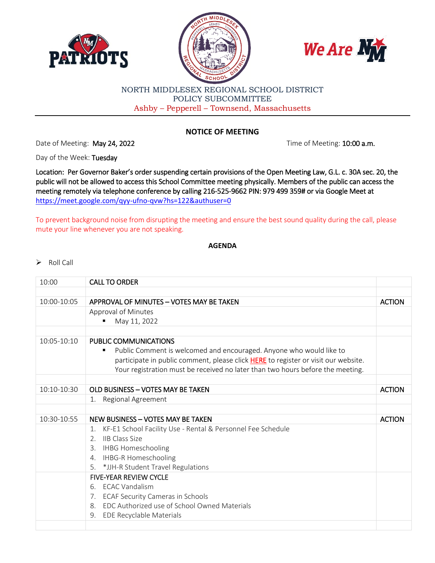





## NORTH MIDDLESEX REGIONAL SCHOOL DISTRICT POLICY SUBCOMMITTEE Ashby – Pepperell – Townsend, Massachusetts

## **NOTICE OF MEETING**

Date of Meeting: May 24, 2022 **The of Meeting: 10:00 a.m.** 

Day of the Week: Tuesday

Location: Per Governor Baker's order suspending certain provisions of the Open Meeting Law, G.L. c. 30A sec. 20, the public will not be allowed to access this School Committee meeting physically. Members of the public can access the meeting remotely via telephone conference by calling 216-525-9662 PIN: 979 499 359# or via Google Meet at <https://meet.google.com/qyy-ufno-qvw?hs=122&authuser=0>

To prevent background noise from disrupting the meeting and ensure the best sound quality during the call, please mute your line whenever you are not speaking.

## **AGENDA**

## $\triangleright$  Roll Call

| 10:00       | <b>CALL TO ORDER</b>                                                               |               |
|-------------|------------------------------------------------------------------------------------|---------------|
|             |                                                                                    |               |
| 10:00-10:05 | APPROVAL OF MINUTES - VOTES MAY BE TAKEN                                           | <b>ACTION</b> |
|             | Approval of Minutes                                                                |               |
|             | May 11, 2022                                                                       |               |
|             |                                                                                    |               |
| 10:05-10:10 | PUBLIC COMMUNICATIONS                                                              |               |
|             | Public Comment is welcomed and encouraged. Anyone who would like to<br>٠           |               |
|             | participate in public comment, please click HERE to register or visit our website. |               |
|             | Your registration must be received no later than two hours before the meeting.     |               |
|             |                                                                                    |               |
| 10:10-10:30 | OLD BUSINESS - VOTES MAY BE TAKEN                                                  | <b>ACTION</b> |
|             | Regional Agreement<br>1.                                                           |               |
|             |                                                                                    |               |
| 10:30-10:55 | NEW BUSINESS - VOTES MAY BE TAKEN                                                  | <b>ACTION</b> |
|             | KF-E1 School Facility Use - Rental & Personnel Fee Schedule<br>1.                  |               |
|             | 2. IIB Class Size                                                                  |               |
|             | 3. IHBG Homeschooling                                                              |               |
|             | 4. IHBG-R Homeschooling                                                            |               |
|             | 5. * JJH-R Student Travel Regulations                                              |               |
|             | <b>FIVE-YEAR REVIEW CYCLE</b>                                                      |               |
|             | <b>ECAC Vandalism</b><br>6                                                         |               |
|             | 7. ECAF Security Cameras in Schools                                                |               |
|             | EDC Authorized use of School Owned Materials<br>8.                                 |               |
|             | <b>EDE Recyclable Materials</b><br>9.                                              |               |
|             |                                                                                    |               |